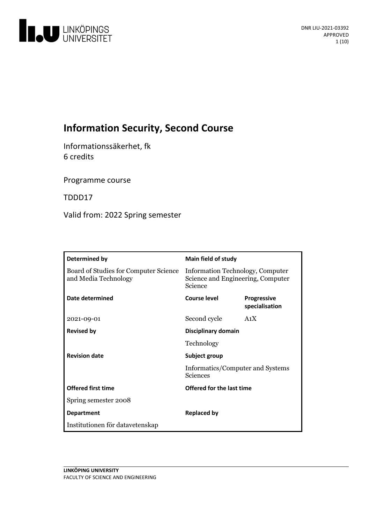

# **Information Security, Second Course**

Informationssäkerhet, fk 6 credits

Programme course

TDDD17

Valid from: 2022 Spring semester

| Determined by                                                 | <b>Main field of study</b>                                                       |                                      |
|---------------------------------------------------------------|----------------------------------------------------------------------------------|--------------------------------------|
| Board of Studies for Computer Science<br>and Media Technology | Information Technology, Computer<br>Science and Engineering, Computer<br>Science |                                      |
| Date determined                                               | Course level                                                                     | <b>Progressive</b><br>specialisation |
| 2021-09-01                                                    | Second cycle                                                                     | A <sub>1</sub> X                     |
| <b>Revised by</b>                                             | Disciplinary domain<br>Technology                                                |                                      |
|                                                               |                                                                                  |                                      |
| <b>Revision date</b>                                          | Subject group<br>Informatics/Computer and Systems<br>Sciences                    |                                      |
|                                                               |                                                                                  |                                      |
| <b>Offered first time</b>                                     | Offered for the last time                                                        |                                      |
| Spring semester 2008                                          |                                                                                  |                                      |
| <b>Department</b>                                             | <b>Replaced by</b>                                                               |                                      |
| Institutionen för datavetenskap                               |                                                                                  |                                      |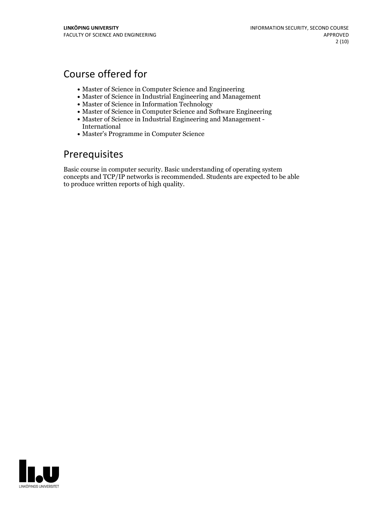## Course offered for

- Master of Science in Computer Science and Engineering
- Master of Science in Industrial Engineering and Management
- Master of Science in Information Technology
- Master of Science in Computer Science and Software Engineering
- Master of Science in Industrial Engineering and Management International
- Master's Programme in Computer Science

## Prerequisites

Basic course in computer security. Basic understanding of operating system concepts and TCP/IP networks is recommended. Students are expected to be able to produce written reports of high quality.

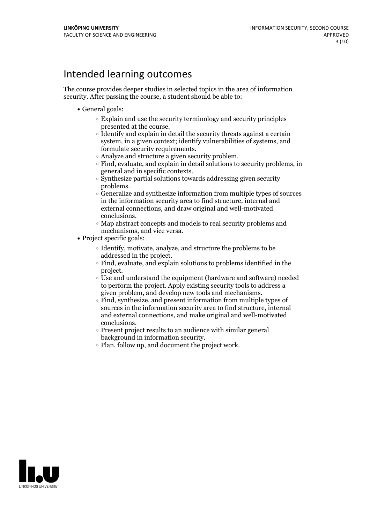## Intended learning outcomes

The course provides deeper studies in selected topics in the area of information security. After passing the course, a student should be able to:

- General goals:
	- $\circ$  Explain and use the security terminology and security principles presented at the course.
	- $\circ$  Identify and explain in detail the security threats against a certain system, in a given context; identify vulnerabilities of systems, and
	-
	- formulate security requirements.<br>  $\circ$  Analyze and structure a given security problem.<br>  $\circ$  Find, evaluate, and explain in detail solutions to security problems, in
	- general and in specific contexts.<br> $\circ$  Synthesize partial solutions towards addressing given security
	- problems.<br> $\circ$  Generalize and synthesize information from multiple types of sources in the information security area to find structure, internal and external connections, and draw original and well-motivated
- $\circ$  Map abstract concepts and models to real security problems and mechanisms, and vice versa.<br>• Project specific goals:
- - Identify, motivate, analyze, and structure the problems to be
	- addressed in the project.<br>  $\circ$  Find, evaluate, and explain solutions to problems identified in the project.
	- $\circ$  Use and understand the equipment (hardware and software) needed to perform the project. Apply existing security tools to address a given problem, and develop new tools and mechanisms.<br> $\circ$  Find, synthesize, and present information from multiple types of
	- sources in the information security area to find structure, internal and external connections, and make original and well-motivated conclusions.<br>  $\circ$  Present project results to an audience with similar general
	- background in information security.<br>  $\circ$  Plan, follow up, and document the project work.
	-

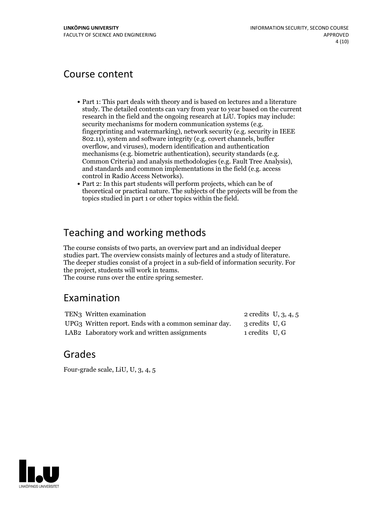## Course content

- Part 1: This part deals with theory and is based on lectures and a literature study. The detailed contents can vary from year to year based on the current research in the field and the ongoing research at LiU. Topics may include: security mechanisms for modern communication systems (e.g. fingerprinting and watermarking), network security (e.g. security in IEEE 802.11), system and software integrity (e.g. covert channels, buffer overflow, and viruses), modern identification and authentication Common Criteria) and analysis methodologies (e.g. Fault Tree Analysis), and standards and common implementations in the field (e.g. access
- control in Radio Access Networks).<br>• Part 2: In this part students will perform projects, which can be of theoretical or practical nature. The subjects of the projects will be from the topics studied in part 1 or other topics within the field.

# Teaching and working methods

The course consists of two parts, an overview part and an individual deeper studies part. The overview consists mainly of lectures and a study of literature. The deeper studies consist of a project in a sub-field of information security. For the project, students will work in teams. The course runs over the entire spring semester.

## Examination

| TEN3 Written examination                             |                | 2 credits $U, 3, 4, 5$ |
|------------------------------------------------------|----------------|------------------------|
| UPG3 Written report. Ends with a common seminar day. | 3 credits U, G |                        |
| LAB2 Laboratory work and written assignments         | 1 credits U, G |                        |

## Grades

Four-grade scale, LiU, U, 3, 4, 5

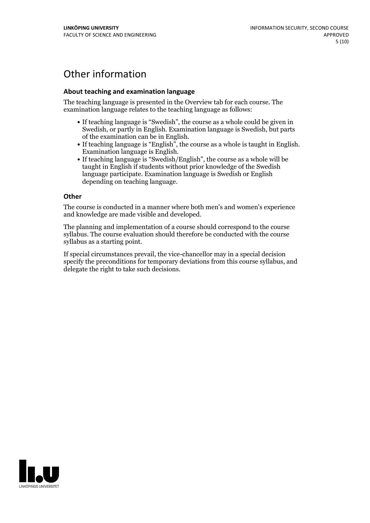# Other information

### **About teaching and examination language**

The teaching language is presented in the Overview tab for each course. The examination language relates to the teaching language as follows:

- If teaching language is "Swedish", the course as a whole could be given in Swedish, or partly in English. Examination language is Swedish, but parts
- of the examination can be in English. If teaching language is "English", the course as <sup>a</sup> whole is taught in English. Examination language is English. If teaching language is "Swedish/English", the course as <sup>a</sup> whole will be
- taught in English if students without prior knowledge of the Swedish language participate. Examination language is Swedish or English depending on teaching language.

#### **Other**

The course is conducted in a manner where both men's and women's experience and knowledge are made visible and developed.

The planning and implementation of a course should correspond to the course syllabus. The course evaluation should therefore be conducted with the course syllabus as a starting point.

If special circumstances prevail, the vice-chancellor may in a special decision specify the preconditions for temporary deviations from this course syllabus, and delegate the right to take such decisions.

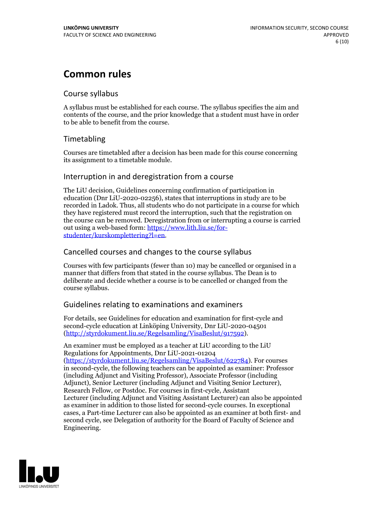## **Common rules**

## Course syllabus

A syllabus must be established for each course. The syllabus specifies the aim and contents of the course, and the prior knowledge that a student must have in order to be able to benefit from the course.

## Timetabling

Courses are timetabled after a decision has been made for this course concerning its assignment to a timetable module.

## Interruption in and deregistration from a course

The LiU decision, Guidelines concerning confirmation of participation in education (Dnr LiU-2020-02256), states that interruptions in study are to be recorded in Ladok. Thus, all students who do not participate in a course for which they have registered must record the interruption, such that the registration on the course can be removed. Deregistration from or interrupting a course is carried out using <sup>a</sup> web-based form: https://www.lith.liu.se/for- [studenter/kurskomplettering?l=en.](https://www.lith.liu.se/for-studenter/kurskomplettering?l=en)

## Cancelled courses and changes to the course syllabus

Courses with few participants (fewer than 10) may be cancelled or organised in a manner that differs from that stated in the course syllabus. The Dean is to deliberate and decide whether a course is to be cancelled or changed from the course syllabus.

## Guidelines relating to examinations and examiners

For details, see Guidelines for education and examination for first-cycle and second-cycle education at Linköping University, Dnr LiU-2020-04501 [\(http://styrdokument.liu.se/Regelsamling/VisaBeslut/917592\)](http://styrdokument.liu.se/Regelsamling/VisaBeslut/917592).

An examiner must be employed as a teacher at LiU according to the LiU Regulations for Appointments, Dnr LiU-2021-01204 [\(https://styrdokument.liu.se/Regelsamling/VisaBeslut/622784](https://styrdokument.liu.se/Regelsamling/VisaBeslut/622784)). For courses in second-cycle, the following teachers can be appointed as examiner: Professor (including Adjunct and Visiting Professor), Associate Professor (including Adjunct), Senior Lecturer (including Adjunct and Visiting Senior Lecturer), Research Fellow, or Postdoc. For courses in first-cycle, Assistant Lecturer (including Adjunct and Visiting Assistant Lecturer) can also be appointed as examiner in addition to those listed for second-cycle courses. In exceptional cases, a Part-time Lecturer can also be appointed as an examiner at both first- and second cycle, see Delegation of authority for the Board of Faculty of Science and Engineering.

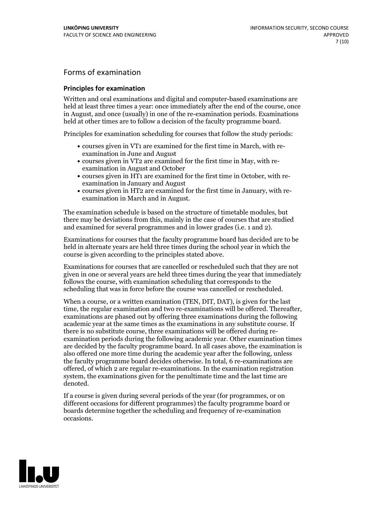## Forms of examination

#### **Principles for examination**

Written and oral examinations and digital and computer-based examinations are held at least three times a year: once immediately after the end of the course, once in August, and once (usually) in one of the re-examination periods. Examinations held at other times are to follow a decision of the faculty programme board.

Principles for examination scheduling for courses that follow the study periods:

- courses given in VT1 are examined for the first time in March, with re-examination in June and August
- courses given in VT2 are examined for the first time in May, with re-examination in August and October
- courses given in HT1 are examined for the first time in October, with re-examination in January and August
- courses given in HT2 are examined for the first time in January, with re-examination in March and in August.

The examination schedule is based on the structure of timetable modules, but there may be deviations from this, mainly in the case of courses that are studied and examined for several programmes and in lower grades (i.e. 1 and 2).

Examinations for courses that the faculty programme board has decided are to be held in alternate years are held three times during the school year in which the course is given according to the principles stated above.

Examinations for courses that are cancelled orrescheduled such that they are not given in one or several years are held three times during the year that immediately follows the course, with examination scheduling that corresponds to the scheduling that was in force before the course was cancelled or rescheduled.

When a course, or a written examination (TEN, DIT, DAT), is given for the last time, the regular examination and two re-examinations will be offered. Thereafter, examinations are phased out by offering three examinations during the following academic year at the same times as the examinations in any substitute course. If there is no substitute course, three examinations will be offered during re- examination periods during the following academic year. Other examination times are decided by the faculty programme board. In all cases above, the examination is also offered one more time during the academic year after the following, unless the faculty programme board decides otherwise. In total, 6 re-examinations are offered, of which 2 are regular re-examinations. In the examination registration system, the examinations given for the penultimate time and the last time are denoted.

If a course is given during several periods of the year (for programmes, or on different occasions for different programmes) the faculty programme board or boards determine together the scheduling and frequency of re-examination occasions.

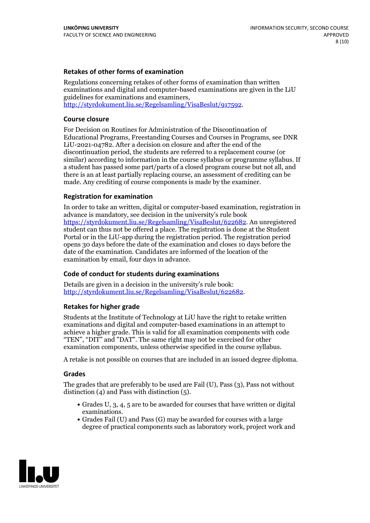### **Retakes of other forms of examination**

Regulations concerning retakes of other forms of examination than written examinations and digital and computer-based examinations are given in the LiU guidelines for examinations and examiners, [http://styrdokument.liu.se/Regelsamling/VisaBeslut/917592.](http://styrdokument.liu.se/Regelsamling/VisaBeslut/917592)

#### **Course closure**

For Decision on Routines for Administration of the Discontinuation of Educational Programs, Freestanding Courses and Courses in Programs, see DNR LiU-2021-04782. After a decision on closure and after the end of the discontinuation period, the students are referred to a replacement course (or similar) according to information in the course syllabus or programme syllabus. If a student has passed some part/parts of a closed program course but not all, and there is an at least partially replacing course, an assessment of crediting can be made. Any crediting of course components is made by the examiner.

### **Registration for examination**

In order to take an written, digital or computer-based examination, registration in advance is mandatory, see decision in the university's rule book [https://styrdokument.liu.se/Regelsamling/VisaBeslut/622682.](https://styrdokument.liu.se/Regelsamling/VisaBeslut/622682) An unregistered student can thus not be offered a place. The registration is done at the Student Portal or in the LiU-app during the registration period. The registration period opens 30 days before the date of the examination and closes 10 days before the date of the examination. Candidates are informed of the location of the examination by email, four days in advance.

### **Code of conduct for students during examinations**

Details are given in a decision in the university's rule book: <http://styrdokument.liu.se/Regelsamling/VisaBeslut/622682>.

#### **Retakes for higher grade**

Students at the Institute of Technology at LiU have the right to retake written examinations and digital and computer-based examinations in an attempt to achieve a higher grade. This is valid for all examination components with code "TEN", "DIT" and "DAT". The same right may not be exercised for other examination components, unless otherwise specified in the course syllabus.

A retake is not possible on courses that are included in an issued degree diploma.

#### **Grades**

The grades that are preferably to be used are Fail (U), Pass (3), Pass not without distinction  $(4)$  and Pass with distinction  $(5)$ .

- Grades U, 3, 4, 5 are to be awarded for courses that have written or digital examinations.<br>• Grades Fail (U) and Pass (G) may be awarded for courses with a large
- degree of practical components such as laboratory work, project work and

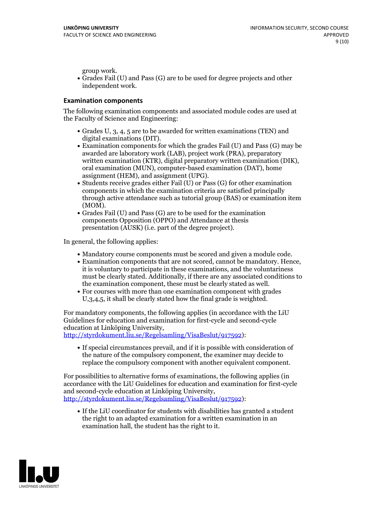group work.<br>• Grades Fail (U) and Pass (G) are to be used for degree projects and other independent work.

### **Examination components**

The following examination components and associated module codes are used at the Faculty of Science and Engineering:

- Grades U, 3, 4, 5 are to be awarded for written examinations (TEN) and
- digital examinations (DIT).<br>• Examination components for which the grades Fail (U) and Pass (G) may be awarded are laboratory work (LAB), project work (PRA), preparatory written examination (KTR), digital preparatory written examination (DIK), oral examination (MUN), computer-based examination (DAT), home
- assignment (HEM), and assignment (UPG).<br>• Students receive grades either Fail (U) or Pass (G) for other examination components in which the examination criteria are satisfied principally through active attendance such as tutorial group (BAS) or examination item
- (MOM).<br>• Grades Fail (U) and Pass (G) are to be used for the examination components Opposition (OPPO) and Attendance at thesis presentation (AUSK) (i.e. part of the degree project).

In general, the following applies:

- 
- Mandatory course components must be scored and given <sup>a</sup> module code. Examination components that are not scored, cannot be mandatory. Hence, it is voluntary to participate in these examinations, and the voluntariness must be clearly stated. Additionally, if there are any associated conditions to
- the examination component, these must be clearly stated as well.<br>• For courses with more than one examination component with grades U,3,4,5, it shall be clearly stated how the final grade is weighted.

For mandatory components, the following applies (in accordance with the LiU Guidelines for education and examination for first-cycle and second-cycle education at Linköping University,<br>[http://styrdokument.liu.se/Regelsamling/VisaBeslut/917592\)](http://styrdokument.liu.se/Regelsamling/VisaBeslut/917592):

If special circumstances prevail, and if it is possible with consideration of the nature of the compulsory component, the examiner may decide to replace the compulsory component with another equivalent component.

For possibilities to alternative forms of examinations, the following applies (in accordance with the LiU Guidelines for education and examination for first-cycle [http://styrdokument.liu.se/Regelsamling/VisaBeslut/917592\)](http://styrdokument.liu.se/Regelsamling/VisaBeslut/917592):

If the LiU coordinator for students with disabilities has granted a student the right to an adapted examination for a written examination in an examination hall, the student has the right to it.